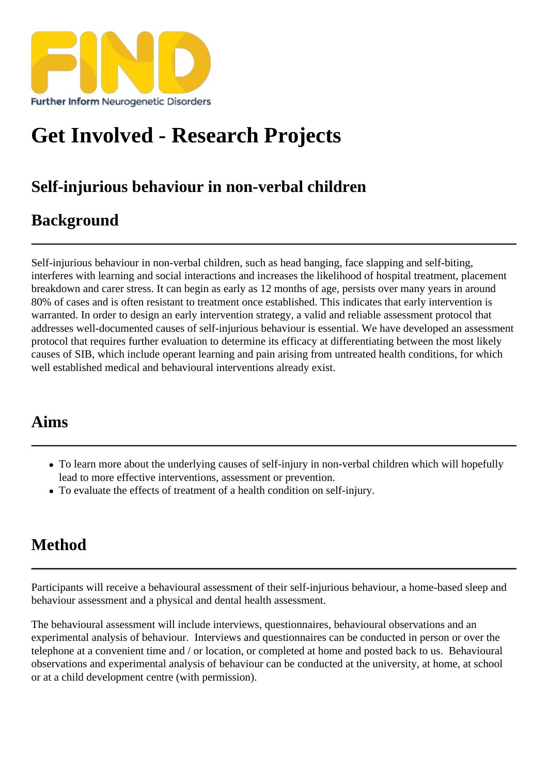# [Get Involved - Res](https://findresources.co.uk)earch Projects

## Self-injurious behaviour in non-verbal children

## **Background**

Self-injurious behaviour in non-verbal children, such as head banging, face slapping and self-biting, interferes with learning and social interactions and increases the likelihood of hospital treatment, placement breakdown and carer stress. It can begin as early as 12 months of age, persists over many years in around 80% of cases and is often resistant to treatment once established. This indicates that ervention is warranted. In order to design an early intervention strategy, a valid and reliable assessment protocol that addresses well-documented causes of self-injurious behaviour is essential. We we awged an assessment protocol that requires further evaluatiton determine its efficacy at differentiating between the most likely causes of SIB, which include operant learning and pain arising from untreated health conditions, for which well established medical and behavioural interventions already exist.

#### Aims

- To learn more about the underlying causes of self-injury in non-verbal children which will hopefully lead to more effective interventions, assessment or prevention.
- To evaluate the effects of treatment of a health condition on self-injury.

## Method

Participants will receive a behavioural assessment of their self-injurious behaviour, a home-based sleep and behaviour assessment and a physical and dental health assessment.

The behavioural assessme mill include interviews, questionnaires, behavioural observations and an experimental analysis of behaviour. Interviews and questionnaires can be conducted in person or over the telephone at a convenient time and / or location, or completed at home and posted back to us. Behavioural observations and experimental analysis of behaviour can be conducted at the university, at home, at school or at a child development centre (with permission).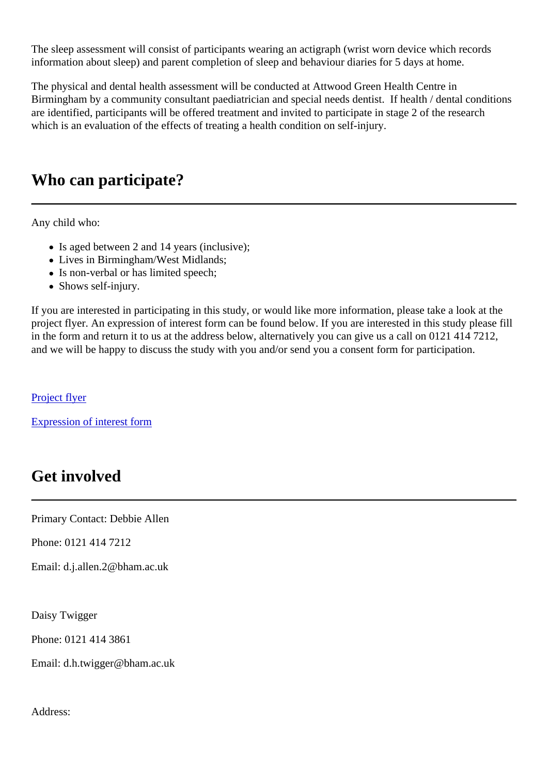The sleep assessment consist of participants wearing an actigraph (wrist worn device which records information about sleep) and parent completion of sleep and behaviour diaries for 5 days at home.

The physical and dental health assessmeht be conducted at Attwood Green Health Centre in Birmingham by a community consultant paediatrician and special needs dentist. If health / dental conditions are identified, participants will be offered treatment and invited to participate in stage 2 of the research which is an evaluation of the effects of treating a health condition on self-injury.

## Who can participate?

Any child who:

- $\bullet$  Is aged between 2 and 14 years (inclusive);
- Lives in Birmingham/West Midlands;
- Is non-verbal or has limited speech;
- Shows self-injury.

If you are interested in participating in this study, or would like more information, please take a look at the project flyer. An expression of interest form can be found below. If you are interested in this study please fill in the form and return it to us at the address below, alternatively you can give us a call on 0121 414 7212, and we will be happy to discuss the study with you and/or send you a consent form for participation.

**Project flyer** 

Expression of interest form

## [Get involved](/uploads/Research Projects/SIB project/Expression of interest form V4_18.11.13.doc)

Primary Contact: Debbie Allen

Phone: 0121 414 7212

Email: d.j.allen.2@bham.ac.uk

Daisy Twigger

Phone: 0121 414 3861

Email: d.h.twigger@bham.ac.uk

Address: